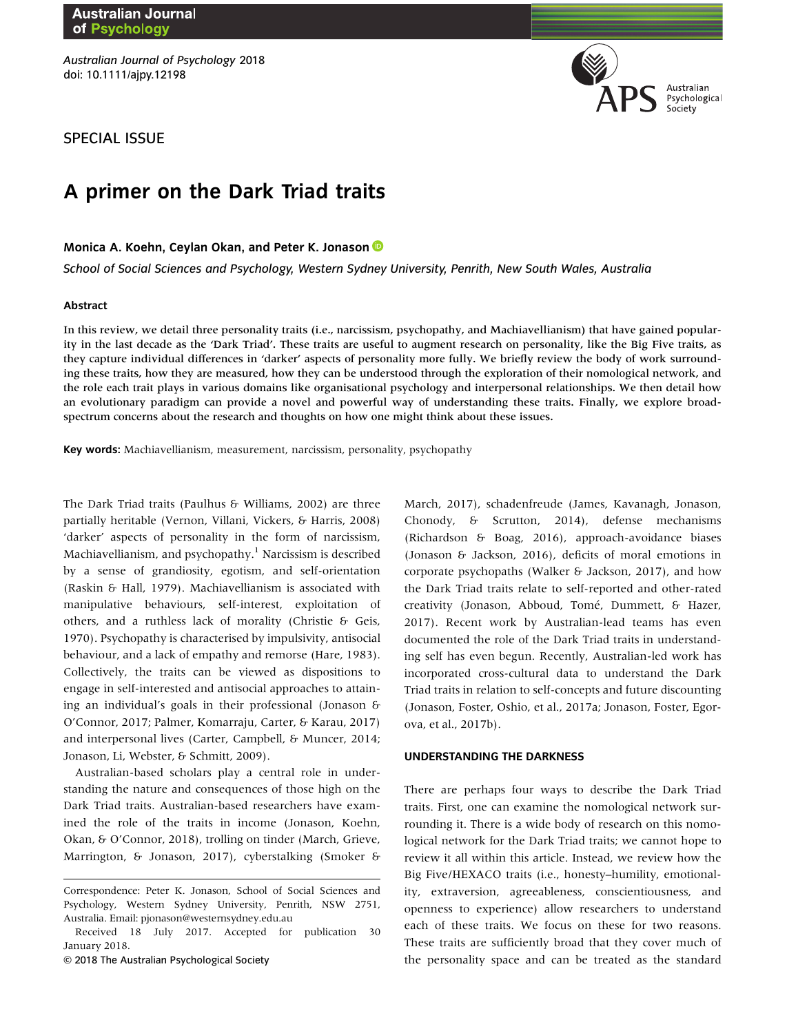Australian Journal of Psychology 2018 doi: 10.1111/ajpy.12198



Australian Psychological Society

SPECIAL ISSUE

# A primer on the Dark Triad traits

## Monica A. Koehn, Ceylan Okan, and Peter K. Jonason

School of Social Sciences and Psychology, Western Sydney University, Penrith, New South Wales, Australia

#### Abstract

In this review, we detail three personality traits (i.e., narcissism, psychopathy, and Machiavellianism) that have gained popularity in the last decade as the 'Dark Triad'. These traits are useful to augment research on personality, like the Big Five traits, as they capture individual differences in 'darker' aspects of personality more fully. We briefly review the body of work surrounding these traits, how they are measured, how they can be understood through the exploration of their nomological network, and the role each trait plays in various domains like organisational psychology and interpersonal relationships. We then detail how an evolutionary paradigm can provide a novel and powerful way of understanding these traits. Finally, we explore broadspectrum concerns about the research and thoughts on how one might think about these issues.

Key words: Machiavellianism, measurement, narcissism, personality, psychopathy

The Dark Triad traits (Paulhus & Williams, 2002) are three partially heritable (Vernon, Villani, Vickers, & Harris, 2008) 'darker' aspects of personality in the form of narcissism, Machiavellianism, and psychopathy.<sup>1</sup> Narcissism is described by a sense of grandiosity, egotism, and self-orientation (Raskin & Hall, 1979). Machiavellianism is associated with manipulative behaviours, self-interest, exploitation of others, and a ruthless lack of morality (Christie & Geis, 1970). Psychopathy is characterised by impulsivity, antisocial behaviour, and a lack of empathy and remorse (Hare, 1983). Collectively, the traits can be viewed as dispositions to engage in self-interested and antisocial approaches to attaining an individual's goals in their professional (Jonason & O'Connor, 2017; Palmer, Komarraju, Carter, & Karau, 2017) and interpersonal lives (Carter, Campbell, & Muncer, 2014; Jonason, Li, Webster, & Schmitt, 2009).

Australian-based scholars play a central role in understanding the nature and consequences of those high on the Dark Triad traits. Australian-based researchers have examined the role of the traits in income (Jonason, Koehn, Okan, & O'Connor, 2018), trolling on tinder (March, Grieve, Marrington, & Jonason, 2017), cyberstalking (Smoker &

© 2018 The Australian Psychological Society

March, 2017), schadenfreude (James, Kavanagh, Jonason, Chonody, & Scrutton, 2014), defense mechanisms (Richardson & Boag, 2016), approach-avoidance biases (Jonason & Jackson, 2016), deficits of moral emotions in corporate psychopaths (Walker & Jackson, 2017), and how the Dark Triad traits relate to self-reported and other-rated creativity (Jonason, Abboud, Tomé, Dummett, & Hazer, 2017). Recent work by Australian-lead teams has even documented the role of the Dark Triad traits in understanding self has even begun. Recently, Australian-led work has incorporated cross-cultural data to understand the Dark Triad traits in relation to self-concepts and future discounting (Jonason, Foster, Oshio, et al., 2017a; Jonason, Foster, Egorova, et al., 2017b).

#### UNDERSTANDING THE DARKNESS

There are perhaps four ways to describe the Dark Triad traits. First, one can examine the nomological network surrounding it. There is a wide body of research on this nomological network for the Dark Triad traits; we cannot hope to review it all within this article. Instead, we review how the Big Five/HEXACO traits (i.e., honesty–humility, emotionality, extraversion, agreeableness, conscientiousness, and openness to experience) allow researchers to understand each of these traits. We focus on these for two reasons. These traits are sufficiently broad that they cover much of the personality space and can be treated as the standard

Correspondence: Peter K. Jonason, School of Social Sciences and Psychology, Western Sydney University, Penrith, NSW 2751, Australia. Email: pjonason@westernsydney.edu.au

Received 18 July 2017. Accepted for publication 30 January 2018.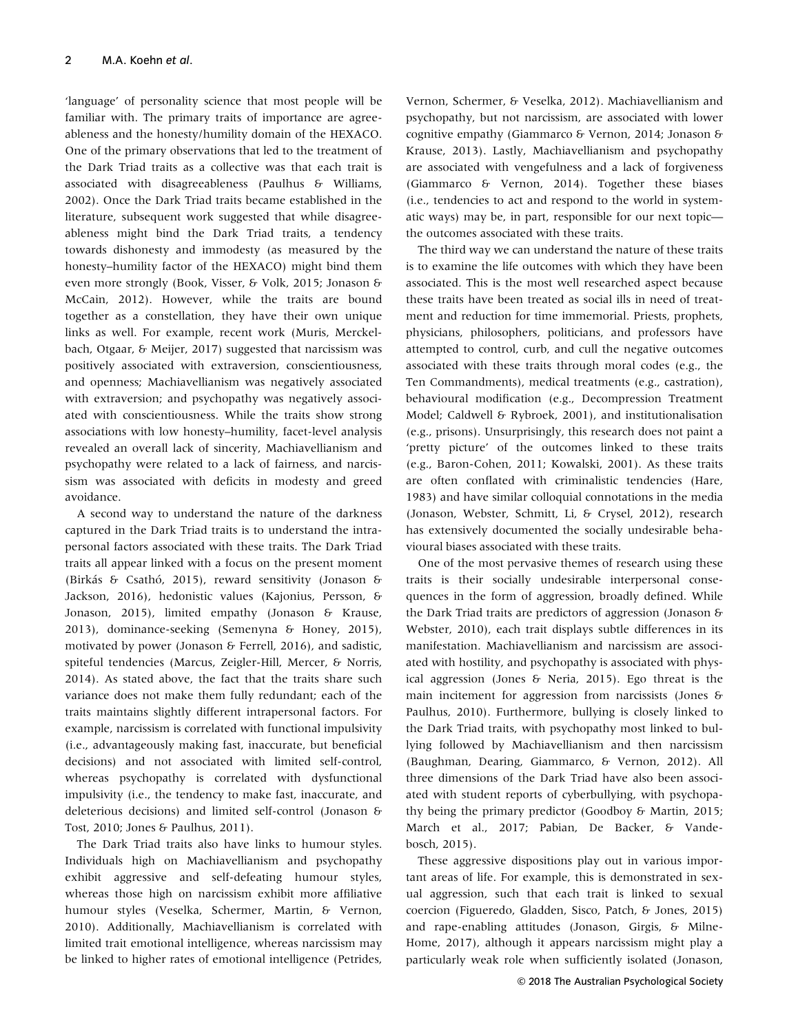'language' of personality science that most people will be familiar with. The primary traits of importance are agreeableness and the honesty/humility domain of the HEXACO. One of the primary observations that led to the treatment of the Dark Triad traits as a collective was that each trait is associated with disagreeableness (Paulhus & Williams, 2002). Once the Dark Triad traits became established in the literature, subsequent work suggested that while disagreeableness might bind the Dark Triad traits, a tendency towards dishonesty and immodesty (as measured by the honesty–humility factor of the HEXACO) might bind them even more strongly (Book, Visser, & Volk, 2015; Jonason & McCain, 2012). However, while the traits are bound together as a constellation, they have their own unique links as well. For example, recent work (Muris, Merckelbach, Otgaar, & Meijer, 2017) suggested that narcissism was positively associated with extraversion, conscientiousness, and openness; Machiavellianism was negatively associated with extraversion; and psychopathy was negatively associated with conscientiousness. While the traits show strong associations with low honesty–humility, facet-level analysis revealed an overall lack of sincerity, Machiavellianism and psychopathy were related to a lack of fairness, and narcissism was associated with deficits in modesty and greed avoidance.

A second way to understand the nature of the darkness captured in the Dark Triad traits is to understand the intrapersonal factors associated with these traits. The Dark Triad traits all appear linked with a focus on the present moment (Birkás & Csathó, 2015), reward sensitivity (Jonason & Jackson, 2016), hedonistic values (Kajonius, Persson, & Jonason, 2015), limited empathy (Jonason & Krause, 2013), dominance-seeking (Semenyna & Honey, 2015), motivated by power (Jonason & Ferrell, 2016), and sadistic, spiteful tendencies (Marcus, Zeigler-Hill, Mercer, & Norris, 2014). As stated above, the fact that the traits share such variance does not make them fully redundant; each of the traits maintains slightly different intrapersonal factors. For example, narcissism is correlated with functional impulsivity (i.e., advantageously making fast, inaccurate, but beneficial decisions) and not associated with limited self-control, whereas psychopathy is correlated with dysfunctional impulsivity (i.e., the tendency to make fast, inaccurate, and deleterious decisions) and limited self-control (Jonason & Tost, 2010; Jones & Paulhus, 2011).

The Dark Triad traits also have links to humour styles. Individuals high on Machiavellianism and psychopathy exhibit aggressive and self-defeating humour styles, whereas those high on narcissism exhibit more affiliative humour styles (Veselka, Schermer, Martin, & Vernon, 2010). Additionally, Machiavellianism is correlated with limited trait emotional intelligence, whereas narcissism may be linked to higher rates of emotional intelligence (Petrides,

Vernon, Schermer, & Veselka, 2012). Machiavellianism and psychopathy, but not narcissism, are associated with lower cognitive empathy (Giammarco & Vernon, 2014; Jonason & Krause, 2013). Lastly, Machiavellianism and psychopathy are associated with vengefulness and a lack of forgiveness (Giammarco & Vernon, 2014). Together these biases (i.e., tendencies to act and respond to the world in systematic ways) may be, in part, responsible for our next topic the outcomes associated with these traits.

The third way we can understand the nature of these traits is to examine the life outcomes with which they have been associated. This is the most well researched aspect because these traits have been treated as social ills in need of treatment and reduction for time immemorial. Priests, prophets, physicians, philosophers, politicians, and professors have attempted to control, curb, and cull the negative outcomes associated with these traits through moral codes (e.g., the Ten Commandments), medical treatments (e.g., castration), behavioural modification (e.g., Decompression Treatment Model; Caldwell & Rybroek, 2001), and institutionalisation (e.g., prisons). Unsurprisingly, this research does not paint a 'pretty picture' of the outcomes linked to these traits (e.g., Baron-Cohen, 2011; Kowalski, 2001). As these traits are often conflated with criminalistic tendencies (Hare, 1983) and have similar colloquial connotations in the media (Jonason, Webster, Schmitt, Li, & Crysel, 2012), research has extensively documented the socially undesirable behavioural biases associated with these traits.

One of the most pervasive themes of research using these traits is their socially undesirable interpersonal consequences in the form of aggression, broadly defined. While the Dark Triad traits are predictors of aggression (Jonason & Webster, 2010), each trait displays subtle differences in its manifestation. Machiavellianism and narcissism are associated with hostility, and psychopathy is associated with physical aggression (Jones & Neria, 2015). Ego threat is the main incitement for aggression from narcissists (Jones & Paulhus, 2010). Furthermore, bullying is closely linked to the Dark Triad traits, with psychopathy most linked to bullying followed by Machiavellianism and then narcissism (Baughman, Dearing, Giammarco, & Vernon, 2012). All three dimensions of the Dark Triad have also been associated with student reports of cyberbullying, with psychopathy being the primary predictor (Goodboy & Martin, 2015; March et al., 2017; Pabian, De Backer, & Vandebosch, 2015).

These aggressive dispositions play out in various important areas of life. For example, this is demonstrated in sexual aggression, such that each trait is linked to sexual coercion (Figueredo, Gladden, Sisco, Patch, & Jones, 2015) and rape-enabling attitudes (Jonason, Girgis, & Milne-Home, 2017), although it appears narcissism might play a particularly weak role when sufficiently isolated (Jonason,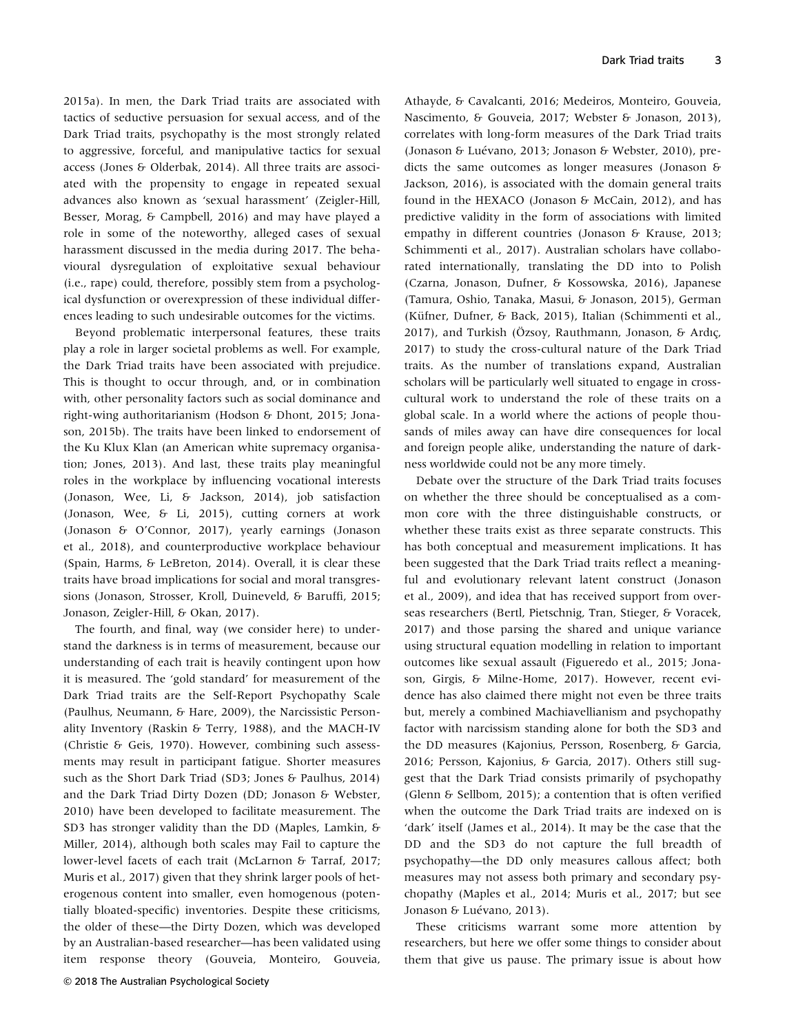2015a). In men, the Dark Triad traits are associated with tactics of seductive persuasion for sexual access, and of the Dark Triad traits, psychopathy is the most strongly related to aggressive, forceful, and manipulative tactics for sexual access (Jones & Olderbak, 2014). All three traits are associated with the propensity to engage in repeated sexual advances also known as 'sexual harassment' (Zeigler-Hill, Besser, Morag, & Campbell, 2016) and may have played a role in some of the noteworthy, alleged cases of sexual harassment discussed in the media during 2017. The behavioural dysregulation of exploitative sexual behaviour (i.e., rape) could, therefore, possibly stem from a psychological dysfunction or overexpression of these individual differences leading to such undesirable outcomes for the victims.

Beyond problematic interpersonal features, these traits play a role in larger societal problems as well. For example, the Dark Triad traits have been associated with prejudice. This is thought to occur through, and, or in combination with, other personality factors such as social dominance and right-wing authoritarianism (Hodson & Dhont, 2015; Jonason, 2015b). The traits have been linked to endorsement of the Ku Klux Klan (an American white supremacy organisation; Jones, 2013). And last, these traits play meaningful roles in the workplace by influencing vocational interests (Jonason, Wee, Li, & Jackson, 2014), job satisfaction (Jonason, Wee, & Li, 2015), cutting corners at work (Jonason & O'Connor, 2017), yearly earnings (Jonason et al., 2018), and counterproductive workplace behaviour (Spain, Harms, & LeBreton, 2014). Overall, it is clear these traits have broad implications for social and moral transgressions (Jonason, Strosser, Kroll, Duineveld, & Baruffi, 2015; Jonason, Zeigler-Hill, & Okan, 2017).

The fourth, and final, way (we consider here) to understand the darkness is in terms of measurement, because our understanding of each trait is heavily contingent upon how it is measured. The 'gold standard' for measurement of the Dark Triad traits are the Self-Report Psychopathy Scale (Paulhus, Neumann, & Hare, 2009), the Narcissistic Personality Inventory (Raskin & Terry, 1988), and the MACH-IV (Christie & Geis, 1970). However, combining such assessments may result in participant fatigue. Shorter measures such as the Short Dark Triad (SD3; Jones & Paulhus, 2014) and the Dark Triad Dirty Dozen (DD; Jonason & Webster, 2010) have been developed to facilitate measurement. The SD3 has stronger validity than the DD (Maples, Lamkin, & Miller, 2014), although both scales may Fail to capture the lower-level facets of each trait (McLarnon & Tarraf, 2017; Muris et al., 2017) given that they shrink larger pools of heterogenous content into smaller, even homogenous (potentially bloated-specific) inventories. Despite these criticisms, the older of these—the Dirty Dozen, which was developed by an Australian-based researcher—has been validated using item response theory (Gouveia, Monteiro, Gouveia,

Athayde, & Cavalcanti, 2016; Medeiros, Monteiro, Gouveia, Nascimento, & Gouveia, 2017; Webster & Jonason, 2013), correlates with long-form measures of the Dark Triad traits (Jonason & Luévano, 2013; Jonason & Webster, 2010), predicts the same outcomes as longer measures (Jonason & Jackson, 2016), is associated with the domain general traits found in the HEXACO (Jonason & McCain, 2012), and has predictive validity in the form of associations with limited empathy in different countries (Jonason & Krause, 2013; Schimmenti et al., 2017). Australian scholars have collaborated internationally, translating the DD into to Polish (Czarna, Jonason, Dufner, & Kossowska, 2016), Japanese (Tamura, Oshio, Tanaka, Masui, & Jonason, 2015), German (Küfner, Dufner, & Back, 2015), Italian (Schimmenti et al., 2017), and Turkish (Özsoy, Rauthmann, Jonason, & Ardıç, 2017) to study the cross-cultural nature of the Dark Triad traits. As the number of translations expand, Australian scholars will be particularly well situated to engage in crosscultural work to understand the role of these traits on a global scale. In a world where the actions of people thousands of miles away can have dire consequences for local and foreign people alike, understanding the nature of darkness worldwide could not be any more timely.

Debate over the structure of the Dark Triad traits focuses on whether the three should be conceptualised as a common core with the three distinguishable constructs, or whether these traits exist as three separate constructs. This has both conceptual and measurement implications. It has been suggested that the Dark Triad traits reflect a meaningful and evolutionary relevant latent construct (Jonason et al., 2009), and idea that has received support from overseas researchers (Bertl, Pietschnig, Tran, Stieger, & Voracek, 2017) and those parsing the shared and unique variance using structural equation modelling in relation to important outcomes like sexual assault (Figueredo et al., 2015; Jonason, Girgis, & Milne-Home, 2017). However, recent evidence has also claimed there might not even be three traits but, merely a combined Machiavellianism and psychopathy factor with narcissism standing alone for both the SD3 and the DD measures (Kajonius, Persson, Rosenberg, & Garcia, 2016; Persson, Kajonius, & Garcia, 2017). Others still suggest that the Dark Triad consists primarily of psychopathy (Glenn & Sellbom, 2015); a contention that is often verified when the outcome the Dark Triad traits are indexed on is 'dark' itself (James et al., 2014). It may be the case that the DD and the SD3 do not capture the full breadth of psychopathy—the DD only measures callous affect; both measures may not assess both primary and secondary psychopathy (Maples et al., 2014; Muris et al., 2017; but see Jonason & Luévano, 2013).

These criticisms warrant some more attention by researchers, but here we offer some things to consider about them that give us pause. The primary issue is about how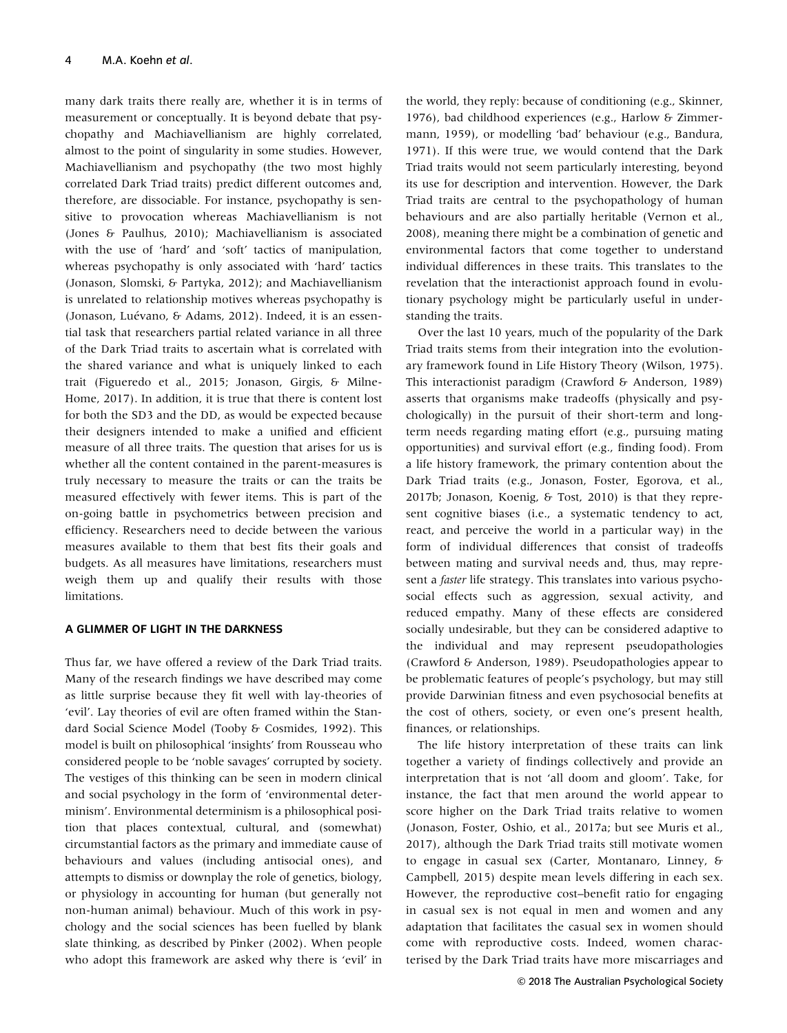many dark traits there really are, whether it is in terms of measurement or conceptually. It is beyond debate that psychopathy and Machiavellianism are highly correlated, almost to the point of singularity in some studies. However, Machiavellianism and psychopathy (the two most highly correlated Dark Triad traits) predict different outcomes and, therefore, are dissociable. For instance, psychopathy is sensitive to provocation whereas Machiavellianism is not (Jones & Paulhus, 2010); Machiavellianism is associated with the use of 'hard' and 'soft' tactics of manipulation, whereas psychopathy is only associated with 'hard' tactics (Jonason, Slomski, & Partyka, 2012); and Machiavellianism is unrelated to relationship motives whereas psychopathy is (Jonason, Luévano, & Adams, 2012). Indeed, it is an essential task that researchers partial related variance in all three of the Dark Triad traits to ascertain what is correlated with the shared variance and what is uniquely linked to each trait (Figueredo et al., 2015; Jonason, Girgis, & Milne-Home, 2017). In addition, it is true that there is content lost for both the SD3 and the DD, as would be expected because their designers intended to make a unified and efficient measure of all three traits. The question that arises for us is whether all the content contained in the parent-measures is truly necessary to measure the traits or can the traits be measured effectively with fewer items. This is part of the on-going battle in psychometrics between precision and efficiency. Researchers need to decide between the various measures available to them that best fits their goals and budgets. As all measures have limitations, researchers must weigh them up and qualify their results with those limitations.

## A GLIMMER OF LIGHT IN THE DARKNESS

Thus far, we have offered a review of the Dark Triad traits. Many of the research findings we have described may come as little surprise because they fit well with lay-theories of 'evil'. Lay theories of evil are often framed within the Standard Social Science Model (Tooby & Cosmides, 1992). This model is built on philosophical 'insights' from Rousseau who considered people to be 'noble savages' corrupted by society. The vestiges of this thinking can be seen in modern clinical and social psychology in the form of 'environmental determinism'. Environmental determinism is a philosophical position that places contextual, cultural, and (somewhat) circumstantial factors as the primary and immediate cause of behaviours and values (including antisocial ones), and attempts to dismiss or downplay the role of genetics, biology, or physiology in accounting for human (but generally not non-human animal) behaviour. Much of this work in psychology and the social sciences has been fuelled by blank slate thinking, as described by Pinker (2002). When people who adopt this framework are asked why there is 'evil' in

the world, they reply: because of conditioning (e.g., Skinner, 1976), bad childhood experiences (e.g., Harlow & Zimmermann, 1959), or modelling 'bad' behaviour (e.g., Bandura, 1971). If this were true, we would contend that the Dark Triad traits would not seem particularly interesting, beyond its use for description and intervention. However, the Dark Triad traits are central to the psychopathology of human behaviours and are also partially heritable (Vernon et al., 2008), meaning there might be a combination of genetic and environmental factors that come together to understand individual differences in these traits. This translates to the revelation that the interactionist approach found in evolutionary psychology might be particularly useful in understanding the traits.

Over the last 10 years, much of the popularity of the Dark Triad traits stems from their integration into the evolutionary framework found in Life History Theory (Wilson, 1975). This interactionist paradigm (Crawford & Anderson, 1989) asserts that organisms make tradeoffs (physically and psychologically) in the pursuit of their short-term and longterm needs regarding mating effort (e.g., pursuing mating opportunities) and survival effort (e.g., finding food). From a life history framework, the primary contention about the Dark Triad traits (e.g., Jonason, Foster, Egorova, et al., 2017b; Jonason, Koenig, & Tost, 2010) is that they represent cognitive biases (i.e., a systematic tendency to act, react, and perceive the world in a particular way) in the form of individual differences that consist of tradeoffs between mating and survival needs and, thus, may represent a faster life strategy. This translates into various psychosocial effects such as aggression, sexual activity, and reduced empathy. Many of these effects are considered socially undesirable, but they can be considered adaptive to the individual and may represent pseudopathologies (Crawford & Anderson, 1989). Pseudopathologies appear to be problematic features of people's psychology, but may still provide Darwinian fitness and even psychosocial benefits at the cost of others, society, or even one's present health, finances, or relationships.

The life history interpretation of these traits can link together a variety of findings collectively and provide an interpretation that is not 'all doom and gloom'. Take, for instance, the fact that men around the world appear to score higher on the Dark Triad traits relative to women (Jonason, Foster, Oshio, et al., 2017a; but see Muris et al., 2017), although the Dark Triad traits still motivate women to engage in casual sex (Carter, Montanaro, Linney, & Campbell, 2015) despite mean levels differing in each sex. However, the reproductive cost–benefit ratio for engaging in casual sex is not equal in men and women and any adaptation that facilitates the casual sex in women should come with reproductive costs. Indeed, women characterised by the Dark Triad traits have more miscarriages and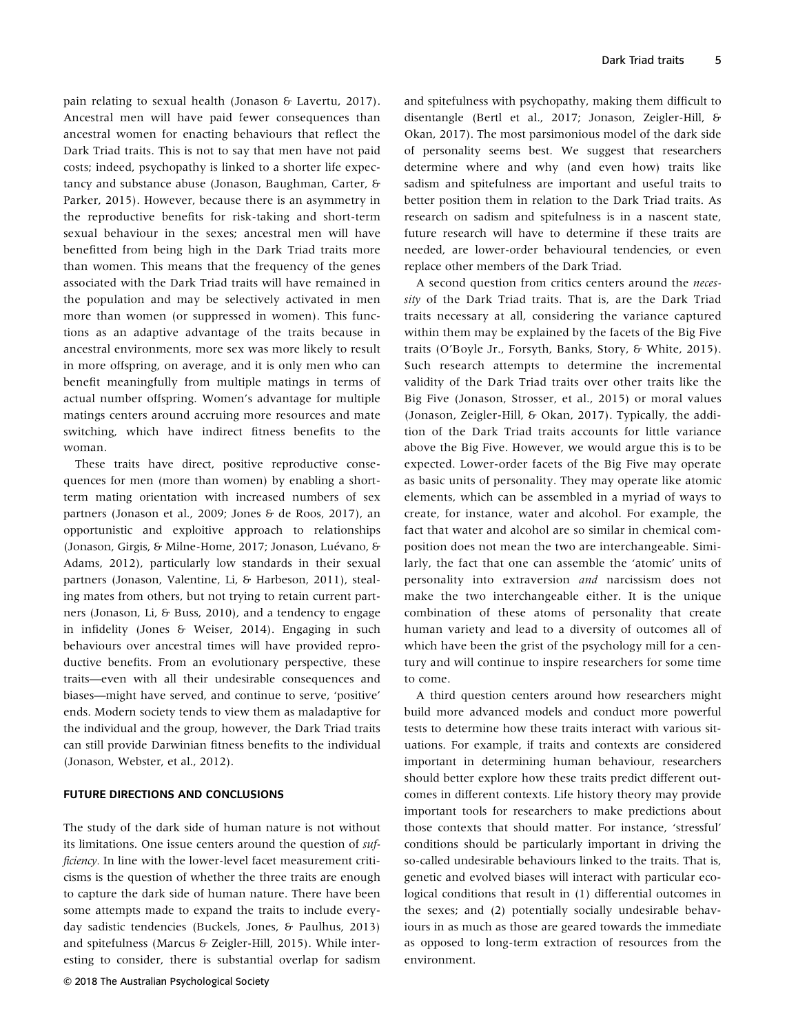pain relating to sexual health (Jonason & Lavertu, 2017). Ancestral men will have paid fewer consequences than ancestral women for enacting behaviours that reflect the Dark Triad traits. This is not to say that men have not paid costs; indeed, psychopathy is linked to a shorter life expectancy and substance abuse (Jonason, Baughman, Carter, & Parker, 2015). However, because there is an asymmetry in the reproductive benefits for risk-taking and short-term sexual behaviour in the sexes; ancestral men will have benefitted from being high in the Dark Triad traits more than women. This means that the frequency of the genes associated with the Dark Triad traits will have remained in the population and may be selectively activated in men more than women (or suppressed in women). This functions as an adaptive advantage of the traits because in ancestral environments, more sex was more likely to result in more offspring, on average, and it is only men who can benefit meaningfully from multiple matings in terms of actual number offspring. Women's advantage for multiple matings centers around accruing more resources and mate switching, which have indirect fitness benefits to the woman.

These traits have direct, positive reproductive consequences for men (more than women) by enabling a shortterm mating orientation with increased numbers of sex partners (Jonason et al., 2009; Jones & de Roos, 2017), an opportunistic and exploitive approach to relationships (Jonason, Girgis, & Milne-Home, 2017; Jonason, Luévano, & Adams, 2012), particularly low standards in their sexual partners (Jonason, Valentine, Li, & Harbeson, 2011), stealing mates from others, but not trying to retain current partners (Jonason, Li, & Buss, 2010), and a tendency to engage in infidelity (Jones & Weiser, 2014). Engaging in such behaviours over ancestral times will have provided reproductive benefits. From an evolutionary perspective, these traits—even with all their undesirable consequences and biases—might have served, and continue to serve, 'positive' ends. Modern society tends to view them as maladaptive for the individual and the group, however, the Dark Triad traits can still provide Darwinian fitness benefits to the individual (Jonason, Webster, et al., 2012).

## FUTURE DIRECTIONS AND CONCLUSIONS

The study of the dark side of human nature is not without its limitations. One issue centers around the question of sufficiency. In line with the lower-level facet measurement criticisms is the question of whether the three traits are enough to capture the dark side of human nature. There have been some attempts made to expand the traits to include everyday sadistic tendencies (Buckels, Jones, & Paulhus, 2013) and spitefulness (Marcus & Zeigler-Hill, 2015). While interesting to consider, there is substantial overlap for sadism

and spitefulness with psychopathy, making them difficult to disentangle (Bertl et al., 2017; Jonason, Zeigler-Hill, & Okan, 2017). The most parsimonious model of the dark side of personality seems best. We suggest that researchers determine where and why (and even how) traits like sadism and spitefulness are important and useful traits to better position them in relation to the Dark Triad traits. As research on sadism and spitefulness is in a nascent state, future research will have to determine if these traits are needed, are lower-order behavioural tendencies, or even replace other members of the Dark Triad.

A second question from critics centers around the necessity of the Dark Triad traits. That is, are the Dark Triad traits necessary at all, considering the variance captured within them may be explained by the facets of the Big Five traits (O'Boyle Jr., Forsyth, Banks, Story, & White, 2015). Such research attempts to determine the incremental validity of the Dark Triad traits over other traits like the Big Five (Jonason, Strosser, et al., 2015) or moral values (Jonason, Zeigler-Hill, & Okan, 2017). Typically, the addition of the Dark Triad traits accounts for little variance above the Big Five. However, we would argue this is to be expected. Lower-order facets of the Big Five may operate as basic units of personality. They may operate like atomic elements, which can be assembled in a myriad of ways to create, for instance, water and alcohol. For example, the fact that water and alcohol are so similar in chemical composition does not mean the two are interchangeable. Similarly, the fact that one can assemble the 'atomic' units of personality into extraversion and narcissism does not make the two interchangeable either. It is the unique combination of these atoms of personality that create human variety and lead to a diversity of outcomes all of which have been the grist of the psychology mill for a century and will continue to inspire researchers for some time to come.

A third question centers around how researchers might build more advanced models and conduct more powerful tests to determine how these traits interact with various situations. For example, if traits and contexts are considered important in determining human behaviour, researchers should better explore how these traits predict different outcomes in different contexts. Life history theory may provide important tools for researchers to make predictions about those contexts that should matter. For instance, 'stressful' conditions should be particularly important in driving the so-called undesirable behaviours linked to the traits. That is, genetic and evolved biases will interact with particular ecological conditions that result in (1) differential outcomes in the sexes; and (2) potentially socially undesirable behaviours in as much as those are geared towards the immediate as opposed to long-term extraction of resources from the environment.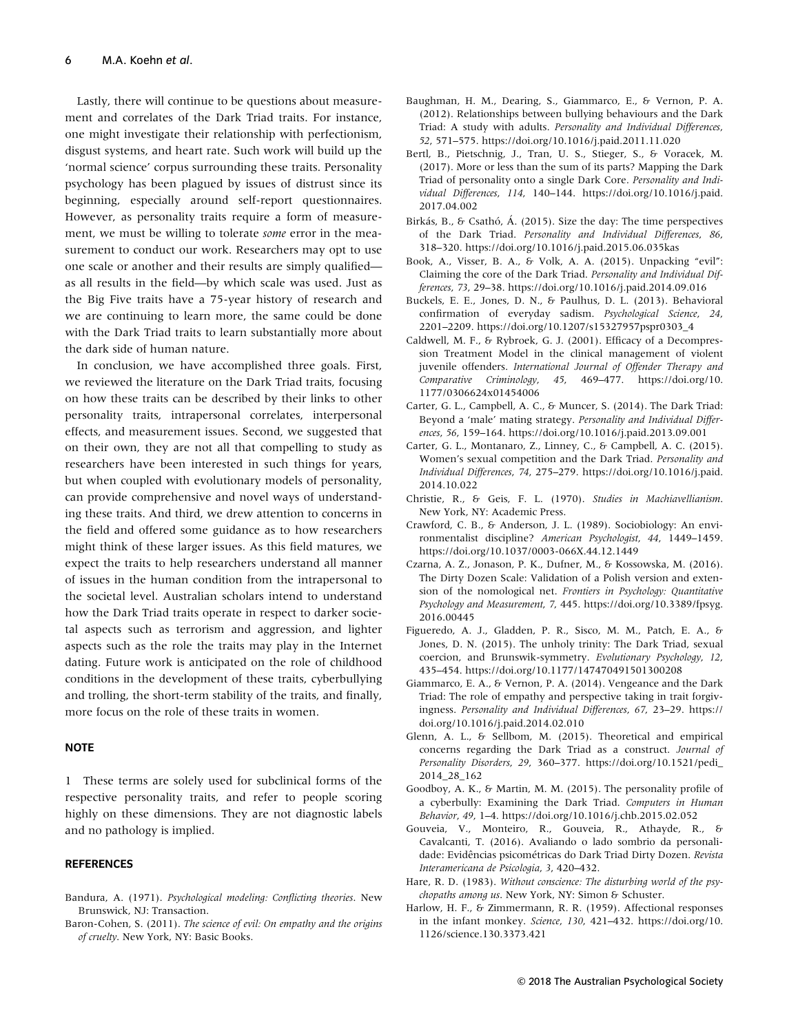Lastly, there will continue to be questions about measurement and correlates of the Dark Triad traits. For instance, one might investigate their relationship with perfectionism, disgust systems, and heart rate. Such work will build up the 'normal science' corpus surrounding these traits. Personality psychology has been plagued by issues of distrust since its beginning, especially around self-report questionnaires. However, as personality traits require a form of measurement, we must be willing to tolerate *some* error in the measurement to conduct our work. Researchers may opt to use one scale or another and their results are simply qualified as all results in the field—by which scale was used. Just as the Big Five traits have a 75-year history of research and we are continuing to learn more, the same could be done with the Dark Triad traits to learn substantially more about the dark side of human nature.

In conclusion, we have accomplished three goals. First, we reviewed the literature on the Dark Triad traits, focusing on how these traits can be described by their links to other personality traits, intrapersonal correlates, interpersonal effects, and measurement issues. Second, we suggested that on their own, they are not all that compelling to study as researchers have been interested in such things for years, but when coupled with evolutionary models of personality, can provide comprehensive and novel ways of understanding these traits. And third, we drew attention to concerns in the field and offered some guidance as to how researchers might think of these larger issues. As this field matures, we expect the traits to help researchers understand all manner of issues in the human condition from the intrapersonal to the societal level. Australian scholars intend to understand how the Dark Triad traits operate in respect to darker societal aspects such as terrorism and aggression, and lighter aspects such as the role the traits may play in the Internet dating. Future work is anticipated on the role of childhood conditions in the development of these traits, cyberbullying and trolling, the short-term stability of the traits, and finally, more focus on the role of these traits in women.

### **NOTE**

1 These terms are solely used for subclinical forms of the respective personality traits, and refer to people scoring highly on these dimensions. They are not diagnostic labels and no pathology is implied.

#### **REFERENCES**

- Bandura, A. (1971). Psychological modeling: Conflicting theories. New Brunswick, NJ: Transaction.
- Baron-Cohen, S. (2011). The science of evil: On empathy and the origins of cruelty. New York, NY: Basic Books.
- Baughman, H. M., Dearing, S., Giammarco, E., & Vernon, P. A. (2012). Relationships between bullying behaviours and the Dark Triad: A study with adults. Personality and Individual Differences, 52, 571–575.<https://doi.org/10.1016/j.paid.2011.11.020>
- Bertl, B., Pietschnig, J., Tran, U. S., Stieger, S., & Voracek, M. (2017). More or less than the sum of its parts? Mapping the Dark Triad of personality onto a single Dark Core. Personality and Individual Differences, 114, 140–144. [https://doi.org/10.1016/j.paid.](https://doi.org/10.1016/j.paid.2017.04.002) [2017.04.002](https://doi.org/10.1016/j.paid.2017.04.002)
- Birkás, B., & Csathó, A. (2015). Size the day: The time perspectives of the Dark Triad. Personality and Individual Differences, 86, 318–320.<https://doi.org/10.1016/j.paid.2015.06.035kas>
- Book, A., Visser, B. A., & Volk, A. A. (2015). Unpacking "evil": Claiming the core of the Dark Triad. Personality and Individual Differences, 73, 29–38.<https://doi.org/10.1016/j.paid.2014.09.016>
- Buckels, E. E., Jones, D. N., & Paulhus, D. L. (2013). Behavioral confirmation of everyday sadism. Psychological Science, 24, 2201–2209. [https://doi.org/10.1207/s15327957pspr0303\\_4](https://doi.org/10.1207/s15327957pspr0303_4)
- Caldwell, M. F., & Rybroek, G. J. (2001). Efficacy of a Decompression Treatment Model in the clinical management of violent juvenile offenders. International Journal of Offender Therapy and Comparative Criminology, 45, 469–477. [https://doi.org/10.](https://doi.org/10.1177/0306624x01454006) [1177/0306624x01454006](https://doi.org/10.1177/0306624x01454006)
- Carter, G. L., Campbell, A. C., & Muncer, S. (2014). The Dark Triad: Beyond a 'male' mating strategy. Personality and Individual Differences, 56, 159–164.<https://doi.org/10.1016/j.paid.2013.09.001>
- Carter, G. L., Montanaro, Z., Linney, C., & Campbell, A. C. (2015). Women's sexual competition and the Dark Triad. Personality and Individual Differences, 74, 275–279. [https://doi.org/10.1016/j.paid.](https://doi.org/10.1016/j.paid.2014.10.022) [2014.10.022](https://doi.org/10.1016/j.paid.2014.10.022)
- Christie, R., & Geis, F. L. (1970). Studies in Machiavellianism. New York, NY: Academic Press.
- Crawford, C. B., & Anderson, J. L. (1989). Sociobiology: An environmentalist discipline? American Psychologist, 44, 1449–1459. <https://doi.org/10.1037/0003-066X.44.12.1449>
- Czarna, A. Z., Jonason, P. K., Dufner, M., & Kossowska, M. (2016). The Dirty Dozen Scale: Validation of a Polish version and extension of the nomological net. Frontiers in Psychology: Quantitative Psychology and Measurement, 7, 445. [https://doi.org/10.3389/fpsyg.](https://doi.org/10.3389/fpsyg.2016.00445) [2016.00445](https://doi.org/10.3389/fpsyg.2016.00445)
- Figueredo, A. J., Gladden, P. R., Sisco, M. M., Patch, E. A., & Jones, D. N. (2015). The unholy trinity: The Dark Triad, sexual coercion, and Brunswik-symmetry. Evolutionary Psychology, 12, 435–454.<https://doi.org/10.1177/147470491501300208>
- Giammarco, E. A., & Vernon, P. A. (2014). Vengeance and the Dark Triad: The role of empathy and perspective taking in trait forgivingness. Personality and Individual Differences, 67, 23–29. [https://](https://doi.org/10.1016/j.paid.2014.02.010) [doi.org/10.1016/j.paid.2014.02.010](https://doi.org/10.1016/j.paid.2014.02.010)
- Glenn, A. L., & Sellbom, M. (2015). Theoretical and empirical concerns regarding the Dark Triad as a construct. Journal of Personality Disorders, 29, 360-377. [https://doi.org/10.1521/pedi\\_](https://doi.org/10.1521/pedi_2014_28_162) [2014\\_28\\_162](https://doi.org/10.1521/pedi_2014_28_162)
- Goodboy, A. K., & Martin, M. M. (2015). The personality profile of a cyberbully: Examining the Dark Triad. Computers in Human Behavior, 49, 1–4.<https://doi.org/10.1016/j.chb.2015.02.052>
- Gouveia, V., Monteiro, R., Gouveia, R., Athayde, R., & Cavalcanti, T. (2016). Avaliando o lado sombrio da personalidade: Evidências psicométricas do Dark Triad Dirty Dozen. Revista Interamericana de Psicologia, 3, 420–432.
- Hare, R. D. (1983). Without conscience: The disturbing world of the psychopaths among us. New York, NY: Simon & Schuster.
- Harlow, H. F., & Zimmermann, R. R. (1959). Affectional responses in the infant monkey. Science, 130, 421–432. [https://doi.org/10.](https://doi.org/10.1126/science.130.3373.421) [1126/science.130.3373.421](https://doi.org/10.1126/science.130.3373.421)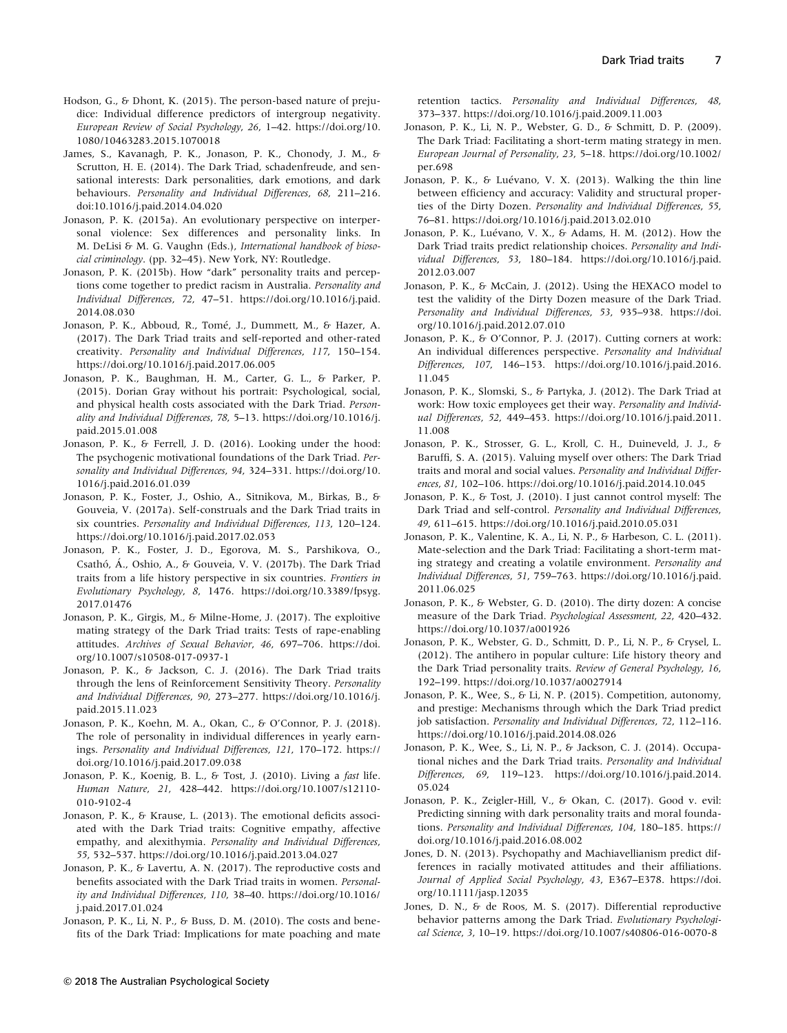- Hodson, G., & Dhont, K. (2015). The person-based nature of prejudice: Individual difference predictors of intergroup negativity. European Review of Social Psychology, 26, 1–42. [https://doi.org/10.](https://doi.org/10.1080/10463283.2015.1070018) [1080/10463283.2015.1070018](https://doi.org/10.1080/10463283.2015.1070018)
- James, S., Kavanagh, P. K., Jonason, P. K., Chonody, J. M., & Scrutton, H. E. (2014). The Dark Triad, schadenfreude, and sensational interests: Dark personalities, dark emotions, and dark behaviours. Personality and Individual Differences, 68, 211–216. doi[:10.1016/j.paid.2014.04.020](info:doi/10.1016/j.paid.2014.04.020)
- Jonason, P. K. (2015a). An evolutionary perspective on interpersonal violence: Sex differences and personality links. In M. DeLisi & M. G. Vaughn (Eds.), International handbook of biosocial criminology. (pp. 32–45). New York, NY: Routledge.
- Jonason, P. K. (2015b). How "dark" personality traits and perceptions come together to predict racism in Australia. Personality and Individual Differences, 72, 47–51. [https://doi.org/10.1016/j.paid.](https://doi.org/10.1016/j.paid.2014.08.030) [2014.08.030](https://doi.org/10.1016/j.paid.2014.08.030)
- Jonason, P. K., Abboud, R., Tomé, J., Dummett, M., & Hazer, A. (2017). The Dark Triad traits and self-reported and other-rated creativity. Personality and Individual Differences, 117, 150–154. <https://doi.org/10.1016/j.paid.2017.06.005>
- Jonason, P. K., Baughman, H. M., Carter, G. L., & Parker, P. (2015). Dorian Gray without his portrait: Psychological, social, and physical health costs associated with the Dark Triad. Personality and Individual Differences, 78, 5–13. [https://doi.org/10.1016/j.](https://doi.org/10.1016/j.paid.2015.01.008) [paid.2015.01.008](https://doi.org/10.1016/j.paid.2015.01.008)
- Jonason, P. K., & Ferrell, J. D. (2016). Looking under the hood: The psychogenic motivational foundations of the Dark Triad. Personality and Individual Differences, 94, 324–331. [https://doi.org/10.](https://doi.org/10.1016/j.paid.2016.01.039) [1016/j.paid.2016.01.039](https://doi.org/10.1016/j.paid.2016.01.039)
- Jonason, P. K., Foster, J., Oshio, A., Sitnikova, M., Birkas, B., & Gouveia, V. (2017a). Self-construals and the Dark Triad traits in six countries. Personality and Individual Differences, 113, 120–124. <https://doi.org/10.1016/j.paid.2017.02.053>
- Jonason, P. K., Foster, J. D., Egorova, M. S., Parshikova, O., Csathó, A., Oshio, A., & Gouveia, V. V. (2017b). The Dark Triad traits from a life history perspective in six countries. Frontiers in Evolutionary Psychology, 8, 1476. [https://doi.org/10.3389/fpsyg.](https://doi.org/10.3389/fpsyg.2017.01476) [2017.01476](https://doi.org/10.3389/fpsyg.2017.01476)
- Jonason, P. K., Girgis, M., & Milne-Home, J. (2017). The exploitive mating strategy of the Dark Triad traits: Tests of rape-enabling attitudes. Archives of Sexual Behavior, 46, 697–706. [https://doi.](https://doi.org/10.1007/s10508-017-0937-1) [org/10.1007/s10508-017-0937-1](https://doi.org/10.1007/s10508-017-0937-1)
- Jonason, P. K., & Jackson, C. J. (2016). The Dark Triad traits through the lens of Reinforcement Sensitivity Theory. Personality and Individual Differences, 90, 273–277. [https://doi.org/10.1016/j.](https://doi.org/10.1016/j.paid.2015.11.023) [paid.2015.11.023](https://doi.org/10.1016/j.paid.2015.11.023)
- Jonason, P. K., Koehn, M. A., Okan, C., & O'Connor, P. J. (2018). The role of personality in individual differences in yearly earnings. Personality and Individual Differences, 121, 170–172. [https://](https://doi.org/10.1016/j.paid.2017.09.038) [doi.org/10.1016/j.paid.2017.09.038](https://doi.org/10.1016/j.paid.2017.09.038)
- Jonason, P. K., Koenig, B. L., & Tost, J. (2010). Living a fast life. Human Nature, 21, 428–442. [https://doi.org/10.1007/s12110-](https://doi.org/10.1007/s12110-010-9102-4) [010-9102-4](https://doi.org/10.1007/s12110-010-9102-4)
- Jonason, P. K., & Krause, L. (2013). The emotional deficits associated with the Dark Triad traits: Cognitive empathy, affective empathy, and alexithymia. Personality and Individual Differences, 55, 532–537.<https://doi.org/10.1016/j.paid.2013.04.027>
- Jonason, P. K., & Lavertu, A. N. (2017). The reproductive costs and benefits associated with the Dark Triad traits in women. Personality and Individual Differences, 110, 38–40. [https://doi.org/10.1016/](https://doi.org/10.1016/j.paid.2017.01.024) [j.paid.2017.01.024](https://doi.org/10.1016/j.paid.2017.01.024)
- Jonason, P. K., Li, N. P., & Buss, D. M. (2010). The costs and benefits of the Dark Triad: Implications for mate poaching and mate

retention tactics. Personality and Individual Differences, 48, 373–337.<https://doi.org/10.1016/j.paid.2009.11.003>

- Jonason, P. K., Li, N. P., Webster, G. D., & Schmitt, D. P. (2009). The Dark Triad: Facilitating a short-term mating strategy in men. European Journal of Personality, 23, 5–18. [https://doi.org/10.1002/](https://doi.org/10.1002/per.698) [per.698](https://doi.org/10.1002/per.698)
- Jonason, P. K., & Luévano, V. X. (2013). Walking the thin line between efficiency and accuracy: Validity and structural properties of the Dirty Dozen. Personality and Individual Differences, 55, 76–81.<https://doi.org/10.1016/j.paid.2013.02.010>
- Jonason, P. K., Luévano, V. X., & Adams, H. M. (2012). How the Dark Triad traits predict relationship choices. Personality and Individual Differences, 53, 180–184. [https://doi.org/10.1016/j.paid.](https://doi.org/10.1016/j.paid.2012.03.007) [2012.03.007](https://doi.org/10.1016/j.paid.2012.03.007)
- Jonason, P. K., & McCain, J. (2012). Using the HEXACO model to test the validity of the Dirty Dozen measure of the Dark Triad. Personality and Individual Differences, 53, 935–938. [https://doi.](https://doi.org/10.1016/j.paid.2012.07.010) [org/10.1016/j.paid.2012.07.010](https://doi.org/10.1016/j.paid.2012.07.010)
- Jonason, P. K., & O'Connor, P. J. (2017). Cutting corners at work: An individual differences perspective. Personality and Individual Differences, 107, 146–153. [https://doi.org/10.1016/j.paid.2016.](https://doi.org/10.1016/j.paid.2016.11.045) [11.045](https://doi.org/10.1016/j.paid.2016.11.045)
- Jonason, P. K., Slomski, S., & Partyka, J. (2012). The Dark Triad at work: How toxic employees get their way. Personality and Individual Differences, 52, 449–453. [https://doi.org/10.1016/j.paid.2011.](https://doi.org/10.1016/j.paid.2011.11.008) [11.008](https://doi.org/10.1016/j.paid.2011.11.008)
- Jonason, P. K., Strosser, G. L., Kroll, C. H., Duineveld, J. J., & Baruffi, S. A. (2015). Valuing myself over others: The Dark Triad traits and moral and social values. Personality and Individual Differences, 81, 102–106.<https://doi.org/10.1016/j.paid.2014.10.045>
- Jonason, P. K., & Tost, J. (2010). I just cannot control myself: The Dark Triad and self-control. Personality and Individual Differences, 49, 611–615.<https://doi.org/10.1016/j.paid.2010.05.031>
- Jonason, P. K., Valentine, K. A., Li, N. P., & Harbeson, C. L. (2011). Mate-selection and the Dark Triad: Facilitating a short-term mating strategy and creating a volatile environment. Personality and Individual Differences, 51, 759–763. [https://doi.org/10.1016/j.paid.](https://doi.org/10.1016/j.paid.2011.06.025) [2011.06.025](https://doi.org/10.1016/j.paid.2011.06.025)
- Jonason, P. K., & Webster, G. D. (2010). The dirty dozen: A concise measure of the Dark Triad. Psychological Assessment, 22, 420–432. <https://doi.org/10.1037/a001926>
- Jonason, P. K., Webster, G. D., Schmitt, D. P., Li, N. P., & Crysel, L. (2012). The antihero in popular culture: Life history theory and the Dark Triad personality traits. Review of General Psychology, 16, 192–199.<https://doi.org/10.1037/a0027914>
- Jonason, P. K., Wee, S., & Li, N. P. (2015). Competition, autonomy, and prestige: Mechanisms through which the Dark Triad predict job satisfaction. Personality and Individual Differences, 72, 112-116. <https://doi.org/10.1016/j.paid.2014.08.026>
- Jonason, P. K., Wee, S., Li, N. P., & Jackson, C. J. (2014). Occupational niches and the Dark Triad traits. Personality and Individual Differences, 69, 119–123. [https://doi.org/10.1016/j.paid.2014.](https://doi.org/10.1016/j.paid.2014.05.024) [05.024](https://doi.org/10.1016/j.paid.2014.05.024)
- Jonason, P. K., Zeigler-Hill, V., & Okan, C. (2017). Good v. evil: Predicting sinning with dark personality traits and moral foundations. Personality and Individual Differences, 104, 180–185. [https://](https://doi.org/10.1016/j.paid.2016.08.002) [doi.org/10.1016/j.paid.2016.08.002](https://doi.org/10.1016/j.paid.2016.08.002)
- Jones, D. N. (2013). Psychopathy and Machiavellianism predict differences in racially motivated attitudes and their affiliations. Journal of Applied Social Psychology, 43, E367–E378. [https://doi.](https://doi.org/10.1111/jasp.12035) [org/10.1111/jasp.12035](https://doi.org/10.1111/jasp.12035)
- Jones, D. N., & de Roos, M. S. (2017). Differential reproductive behavior patterns among the Dark Triad. Evolutionary Psychological Science, 3, 10–19.<https://doi.org/10.1007/s40806-016-0070-8>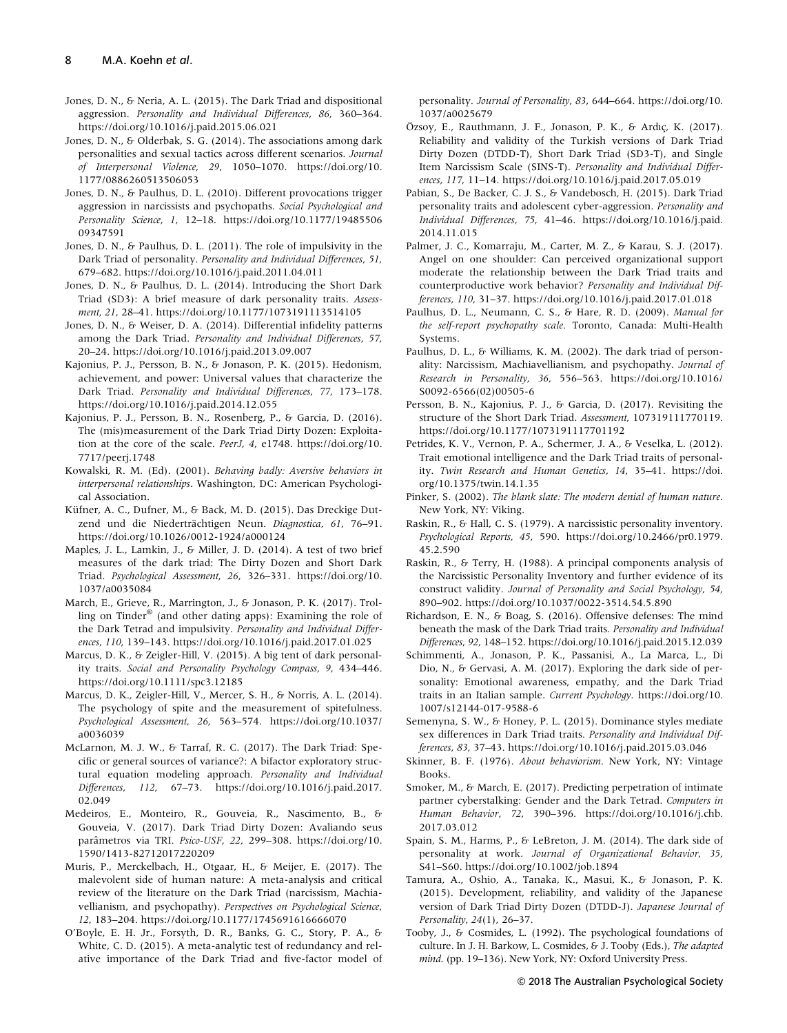- Jones, D. N., & Neria, A. L. (2015). The Dark Triad and dispositional aggression. Personality and Individual Differences, 86, 360–364. <https://doi.org/10.1016/j.paid.2015.06.021>
- Jones, D. N., & Olderbak, S. G. (2014). The associations among dark personalities and sexual tactics across different scenarios. Journal of Interpersonal Violence, 29, 1050–1070. [https://doi.org/10.](https://doi.org/10.1177/0886260513506053) [1177/0886260513506053](https://doi.org/10.1177/0886260513506053)
- Jones, D. N., & Paulhus, D. L. (2010). Different provocations trigger aggression in narcissists and psychopaths. Social Psychological and Personality Science, 1, 12–18. [https://doi.org/10.1177/19485506](https://doi.org/10.1177/1948550609347591) [09347591](https://doi.org/10.1177/1948550609347591)
- Jones, D. N., & Paulhus, D. L. (2011). The role of impulsivity in the Dark Triad of personality. Personality and Individual Differences, 51, 679–682.<https://doi.org/10.1016/j.paid.2011.04.011>
- Jones, D. N., & Paulhus, D. L. (2014). Introducing the Short Dark Triad (SD3): A brief measure of dark personality traits. Assessment, 21, 28–41.<https://doi.org/10.1177/1073191113514105>
- Jones, D. N., & Weiser, D. A. (2014). Differential infidelity patterns among the Dark Triad. Personality and Individual Differences, 57, 20–24.<https://doi.org/10.1016/j.paid.2013.09.007>
- Kajonius, P. J., Persson, B. N., & Jonason, P. K. (2015). Hedonism, achievement, and power: Universal values that characterize the Dark Triad. Personality and Individual Differences, 77, 173–178. <https://doi.org/10.1016/j.paid.2014.12.055>
- Kajonius, P. J., Persson, B. N., Rosenberg, P., & Garcia, D. (2016). The (mis)measurement of the Dark Triad Dirty Dozen: Exploitation at the core of the scale. PeerJ, 4, e1748. [https://doi.org/10.](https://doi.org/10.7717/peerj.1748) [7717/peerj.1748](https://doi.org/10.7717/peerj.1748)
- Kowalski, R. M. (Ed). (2001). Behaving badly: Aversive behaviors in interpersonal relationships. Washington, DC: American Psychological Association.
- Küfner, A. C., Dufner, M., & Back, M. D. (2015). Das Dreckige Dutzend und die Niederträchtigen Neun. Diagnostica, 61, 76–91. <https://doi.org/10.1026/0012-1924/a000124>
- Maples, J. L., Lamkin, J., & Miller, J. D. (2014). A test of two brief measures of the dark triad: The Dirty Dozen and Short Dark Triad. Psychological Assessment, 26, 326–331. [https://doi.org/10.](https://doi.org/10.1037/a0035084) [1037/a0035084](https://doi.org/10.1037/a0035084)
- March, E., Grieve, R., Marrington, J., & Jonason, P. K. (2017). Trolling on Tinder® (and other dating apps): Examining the role of the Dark Tetrad and impulsivity. Personality and Individual Differences, 110, 139–143.<https://doi.org/10.1016/j.paid.2017.01.025>
- Marcus, D. K., & Zeigler-Hill, V. (2015). A big tent of dark personality traits. Social and Personality Psychology Compass, 9, 434–446. <https://doi.org/10.1111/spc3.12185>
- Marcus, D. K., Zeigler-Hill, V., Mercer, S. H., & Norris, A. L. (2014). The psychology of spite and the measurement of spitefulness. Psychological Assessment, 26, 563–574. [https://doi.org/10.1037/](https://doi.org/10.1037/a0036039) [a0036039](https://doi.org/10.1037/a0036039)
- McLarnon, M. J. W., & Tarraf, R. C. (2017). The Dark Triad: Specific or general sources of variance?: A bifactor exploratory structural equation modeling approach. Personality and Individual Differences, 112, 67–73. [https://doi.org/10.1016/j.paid.2017.](https://doi.org/10.1016/j.paid.2017.02.049) [02.049](https://doi.org/10.1016/j.paid.2017.02.049)
- Medeiros, E., Monteiro, R., Gouveia, R., Nascimento, B., & Gouveia, V. (2017). Dark Triad Dirty Dozen: Avaliando seus parâmetros via TRI. Psico-USF, 22, 299–308. [https://doi.org/10.](https://doi.org/10.1590/1413-82712017220209) [1590/1413-82712017220209](https://doi.org/10.1590/1413-82712017220209)
- Muris, P., Merckelbach, H., Otgaar, H., & Meijer, E. (2017). The malevolent side of human nature: A meta-analysis and critical review of the literature on the Dark Triad (narcissism, Machiavellianism, and psychopathy). Perspectives on Psychological Science, 12, 183–204.<https://doi.org/10.1177/1745691616666070>
- O'Boyle, E. H. Jr., Forsyth, D. R., Banks, G. C., Story, P. A., & White, C. D. (2015). A meta-analytic test of redundancy and relative importance of the Dark Triad and five-factor model of

personality. Journal of Personality, 83, 644–664. [https://doi.org/10.](https://doi.org/10.1037/a0025679) [1037/a0025679](https://doi.org/10.1037/a0025679)

- Özsoy, E., Rauthmann, J. F., Jonason, P. K., & Ardıç, K. (2017). Reliability and validity of the Turkish versions of Dark Triad Dirty Dozen (DTDD-T), Short Dark Triad (SD3-T), and Single Item Narcissism Scale (SINS-T). Personality and Individual Differences, 117, 11–14.<https://doi.org/10.1016/j.paid.2017.05.019>
- Pabian, S., De Backer, C. J. S., & Vandebosch, H. (2015). Dark Triad personality traits and adolescent cyber-aggression. Personality and Individual Differences, 75, 41–46. [https://doi.org/10.1016/j.paid.](https://doi.org/10.1016/j.paid.2014.11.015) [2014.11.015](https://doi.org/10.1016/j.paid.2014.11.015)
- Palmer, J. C., Komarraju, M., Carter, M. Z., & Karau, S. J. (2017). Angel on one shoulder: Can perceived organizational support moderate the relationship between the Dark Triad traits and counterproductive work behavior? Personality and Individual Differences, 110, 31–37.<https://doi.org/10.1016/j.paid.2017.01.018>
- Paulhus, D. L., Neumann, C. S., & Hare, R. D. (2009). Manual for the self-report psychopathy scale. Toronto, Canada: Multi-Health Systems.
- Paulhus, D. L., & Williams, K. M. (2002). The dark triad of personality: Narcissism, Machiavellianism, and psychopathy. Journal of Research in Personality, 36, 556–563. [https://doi.org/10.1016/](https://doi.org/10.1016/S0092-6566(02)00505-6) [S0092-6566\(02\)00505-6](https://doi.org/10.1016/S0092-6566(02)00505-6)
- Persson, B. N., Kajonius, P. J., & Garcia, D. (2017). Revisiting the structure of the Short Dark Triad. Assessment, 107319111770119. <https://doi.org/10.1177/1073191117701192>
- Petrides, K. V., Vernon, P. A., Schermer, J. A., & Veselka, L. (2012). Trait emotional intelligence and the Dark Triad traits of personality. Twin Research and Human Genetics, 14, 35–41. [https://doi.](https://doi.org/10.1375/twin.14.1.35) [org/10.1375/twin.14.1.35](https://doi.org/10.1375/twin.14.1.35)
- Pinker, S. (2002). The blank slate: The modern denial of human nature. New York, NY: Viking.
- Raskin, R., & Hall, C. S. (1979). A narcissistic personality inventory. Psychological Reports, 45, 590. [https://doi.org/10.2466/pr0.1979.](https://doi.org/10.2466/pr0.1979.45.2.590) [45.2.590](https://doi.org/10.2466/pr0.1979.45.2.590)
- Raskin, R., & Terry, H. (1988). A principal components analysis of the Narcissistic Personality Inventory and further evidence of its construct validity. Journal of Personality and Social Psychology, 54, 890–902.<https://doi.org/10.1037/0022-3514.54.5.890>
- Richardson, E. N., & Boag, S. (2016). Offensive defenses: The mind beneath the mask of the Dark Triad traits. Personality and Individual Differences, 92, 148–152.<https://doi.org/10.1016/j.paid.2015.12.039>
- Schimmenti, A., Jonason, P. K., Passanisi, A., La Marca, L., Di Dio, N., & Gervasi, A. M. (2017). Exploring the dark side of personality: Emotional awareness, empathy, and the Dark Triad traits in an Italian sample. Current Psychology. [https://doi.org/10.](https://doi.org/10.1007/s12144-017-9588-6) [1007/s12144-017-9588-6](https://doi.org/10.1007/s12144-017-9588-6)
- Semenyna, S. W., & Honey, P. L. (2015). Dominance styles mediate sex differences in Dark Triad traits. Personality and Individual Differences, 83, 37–43.<https://doi.org/10.1016/j.paid.2015.03.046>
- Skinner, B. F. (1976). About behaviorism. New York, NY: Vintage Books.
- Smoker, M., & March, E. (2017). Predicting perpetration of intimate partner cyberstalking: Gender and the Dark Tetrad. Computers in Human Behavior, 72, 390–396. [https://doi.org/10.1016/j.chb.](https://doi.org/10.1016/j.chb.2017.03.012) [2017.03.012](https://doi.org/10.1016/j.chb.2017.03.012)
- Spain, S. M., Harms, P., & LeBreton, J. M. (2014). The dark side of personality at work. Journal of Organizational Behavior, 35, S41–S60.<https://doi.org/10.1002/job.1894>
- Tamura, A., Oshio, A., Tanaka, K., Masui, K., & Jonason, P. K. (2015). Development, reliability, and validity of the Japanese version of Dark Triad Dirty Dozen (DTDD-J). Japanese Journal of Personality, 24(1), 26–37.
- Tooby, J., & Cosmides, L. (1992). The psychological foundations of culture. In J. H. Barkow, L. Cosmides, & J. Tooby (Eds.), The adapted mind. (pp. 19–136). New York, NY: Oxford University Press.